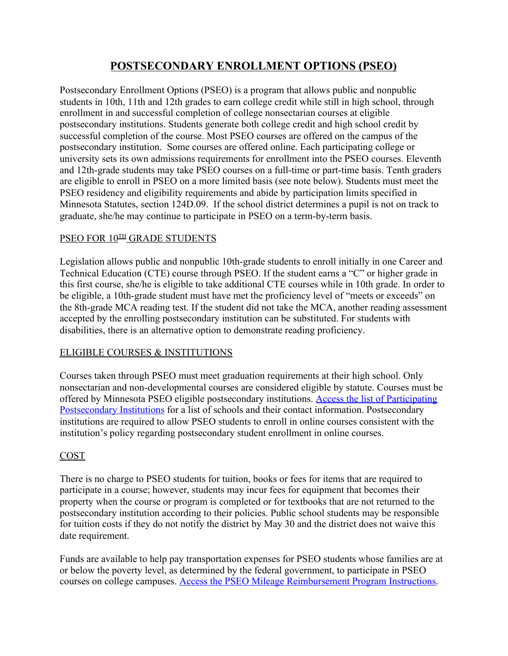# **POSTSECONDARY ENROLLMENT OPTIONS (PSEO)**

Postsecondary Enrollment Options (PSEO) is a program that allows public and nonpublic students in 10th, 11th and 12th grades to earn college credit while still in high school, through enrollment in and successful completion of college nonsectarian courses at eligible postsecondary institutions. Students generate both college credit and high school credit by successful completion of the course. Most PSEO courses are offered on the campus of the postsecondary institution. Some courses are offered online. Each participating college or university sets its own admissions requirements for enrollment into the PSEO courses. Eleventh and 12th-grade students may take PSEO courses on a full-time or part-time basis. Tenth graders are eligible to enroll in PSEO on a more limited basis (see note below). Students must meet the PSEO residency and eligibility requirements and abide by participation limits specified in Minnesota Statutes, section 124D.09. If the school district determines a pupil is not on track to graduate, she/he may continue to participate in PSEO on a term-by-term basis.

## **PSEO FOR 10<sup>TH</sup> GRADE STUDENTS**

Legislation allows public and nonpublic 10th-grade students to enroll initially in one Career and Technical Education (CTE) course through PSEO. If the student earns a "C" or higher grade in this first course, she/he is eligible to take additional CTE courses while in 10th grade. In order to be eligible, a 10th-grade student must have met the proficiency level of "meets or exceeds" on the 8th-grade MCA reading test. If the student did not take the MCA, another reading assessment accepted by the enrolling postsecondary institution can be substituted. For students with disabilities, there is an alternative option to demonstrate reading proficiency.

## ELIGIBLE COURSES & INSTITUTIONS

Courses taken through PSEO must meet graduation requirements at their high school. Only nonsectarian and non-developmental courses are considered eligible by statute. Courses must be offered by Minnesota PSEO eligible postsecondary institutions. [Access the list of Participating](https://education.mn.gov/MDE/fam/dual/pseo/040787) [Postsecondary Institutions](https://education.mn.gov/MDE/fam/dual/pseo/040787) for a list of schools and their contact information. Postsecondary institutions are required to allow PSEO students to enroll in online courses consistent with the institution's policy regarding postsecondary student enrollment in online courses.

## COST

There is no charge to PSEO students for tuition, books or fees for items that are required to participate in a course; however, students may incur fees for equipment that becomes their property when the course or program is completed or for textbooks that are not returned to the postsecondary institution according to their policies. Public school students may be responsible for tuition costs if they do not notify the district by May 30 and the district does not waive this date requirement.

Funds are available to help pay transportation expenses for PSEO students whose families are at or below the poverty level, as determined by the federal government, to participate in PSEO courses on college campuses. [Access the PSEO Mileage Reimbursement Program Instructions.](https://education.mn.gov/MDE/dse/schfin/Trans/rep/005668)